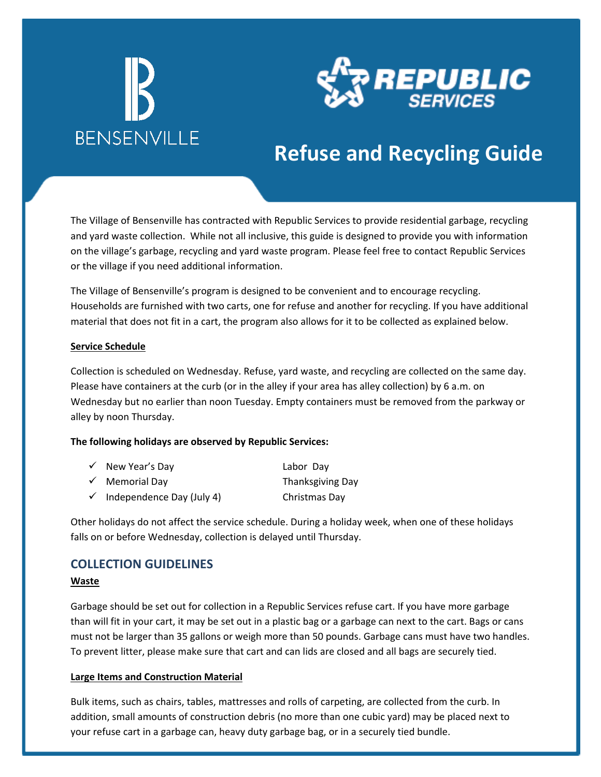



## **Refuse and Recycling Guide**

The Village of Bensenville has contracted with Republic Services to provide residential garbage, recycling and yard waste collection. While not all inclusive, this guide is designed to provide you with information on the village's garbage, recycling and yard waste program. Please feel free to contact Republic Services or the village if you need additional information.

The Village of Bensenville's program is designed to be convenient and to encourage recycling. Households are furnished with two carts, one for refuse and another for recycling. If you have additional material that does not fit in a cart, the program also allows for it to be collected as explained below.

#### **Service Schedule**

Collection is scheduled on Wednesday. Refuse, yard waste, and recycling are collected on the same day. Please have containers at the curb (or in the alley if your area has alley collection) by 6 a.m. on Wednesday but no earlier than noon Tuesday. Empty containers must be removed from the parkway or alley by noon Thursday.

#### **The following holidays are observed by Republic Services:**

| $\checkmark$ New Year's Day            | Labor Day        |
|----------------------------------------|------------------|
| $\checkmark$ Memorial Day              | Thanksgiving Day |
| $\checkmark$ Independence Day (July 4) | Christmas Day    |

Other holidays do not affect the service schedule. During a holiday week, when one of these holidays falls on or before Wednesday, collection is delayed until Thursday.

### **COLLECTION GUIDELINES**

### **Waste**

Garbage should be set out for collection in a Republic Services refuse cart. If you have more garbage than will fit in your cart, it may be set out in a plastic bag or a garbage can next to the cart. Bags or cans must not be larger than 35 gallons or weigh more than 50 pounds. Garbage cans must have two handles. To prevent litter, please make sure that cart and can lids are closed and all bags are securely tied.

#### **Large Items and Construction Material**

Bulk items, such as chairs, tables, mattresses and rolls of carpeting, are collected from the curb. In addition, small amounts of construction debris (no more than one cubic yard) may be placed next to your refuse cart in a garbage can, heavy duty garbage bag, or in a securely tied bundle.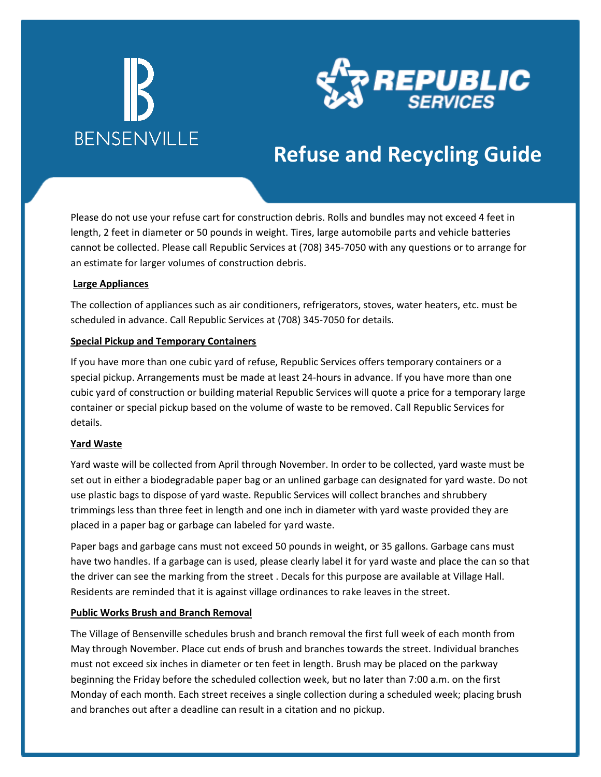

## **Refuse and Recycling Guide**

Please do not use your refuse cart for construction debris. Rolls and bundles may not exceed 4 feet in length, 2 feet in diameter or 50 pounds in weight. Tires, large automobile parts and vehicle batteries cannot be collected. Please call Republic Services at (708) 345-7050 with any questions or to arrange for an estimate for larger volumes of construction debris.

### **Large Appliances**

The collection of appliances such as air conditioners, refrigerators, stoves, water heaters, etc. must be scheduled in advance. Call Republic Services at (708) 345-7050 for details.

### **Special Pickup and Temporary Containers**

If you have more than one cubic yard of refuse, Republic Services offers temporary containers or a special pickup. Arrangements must be made at least 24-hours in advance. If you have more than one cubic yard of construction or building material Republic Services will quote a price for a temporary large container or special pickup based on the volume of waste to be removed. Call Republic Services for details.

### **Yard Waste**

Yard waste will be collected from April through November. In order to be collected, yard waste must be set out in either a biodegradable paper bag or an unlined garbage can designated for yard waste. Do not use plastic bags to dispose of yard waste. Republic Services will collect branches and shrubbery trimmings less than three feet in length and one inch in diameter with yard waste provided they are placed in a paper bag or garbage can labeled for yard waste.

Paper bags and garbage cans must not exceed 50 pounds in weight, or 35 gallons. Garbage cans must have two handles. If a garbage can is used, please clearly label it for yard waste and place the can so that the driver can see the marking from the street . Decals for this purpose are available at Village Hall. Residents are reminded that it is against village ordinances to rake leaves in the street.

### **Public Works Brush and Branch Removal**

The Village of Bensenville schedules brush and branch removal the first full week of each month from May through November. Place cut ends of brush and branches towards the street. Individual branches must not exceed six inches in diameter or ten feet in length. Brush may be placed on the parkway beginning the Friday before the scheduled collection week, but no later than 7:00 a.m. on the first Monday of each month. Each street receives a single collection during a scheduled week; placing brush and branches out after a deadline can result in a citation and no pickup.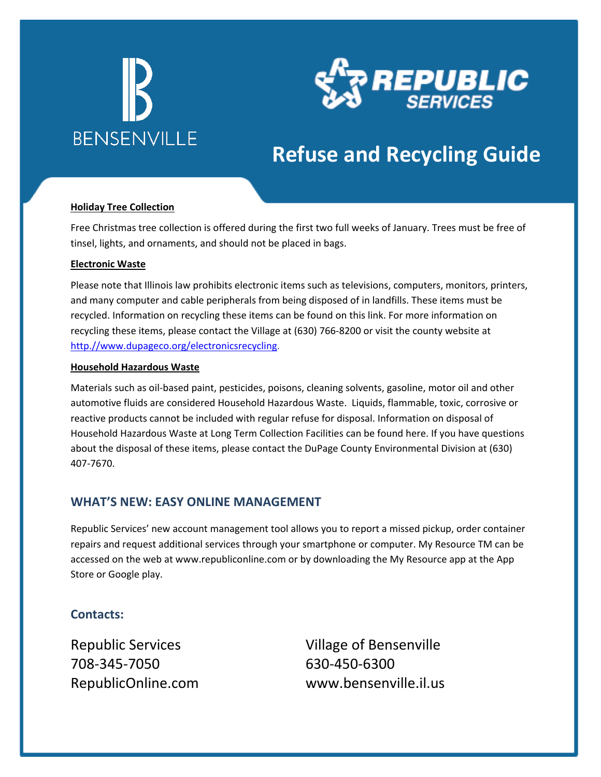



## **Refuse and Recycling Guide**

### **Holiday Tree Collection**

Free Christmas tree collection is offered during the first two full weeks of January. Trees must be free of tinsel, lights, and ornaments, and should not be placed in bags.

#### **Electronic Waste**

Please note that Illinois law prohibits electronic items such as televisions, computers, monitors, printers, and many computer and cable peripherals from being disposed of in landfills. These items must be recycled. Information on recycling these items can be found on this link. For more information on recycling these items, please contact the Village at (630) 766-8200 or visit the county website at [http.//www.dupageco.org/electronicsrecycling.](www.dupageco.org/electronicsrecycling)

### **Household Hazardous Waste**

Materials such as oil-based paint, pesticides, poisons, cleaning solvents, gasoline, motor oil and other automotive fluids are considered Household Hazardous Waste. Liquids, flammable, toxic, corrosive or reactive products cannot be included with regular refuse for disposal. Information on disposal of Household Hazardous Waste at Long Term Collection Facilities can be found here. If you have questions about the disposal of these items, please contact the DuPage County Environmental Division at (630) 407-7670.

### **WHAT'S NEW: EASY ONLINE MANAGEMENT**

Republic Services' new account management tool allows you to report a missed pickup, order container repairs and request additional services through your smartphone or computer. My Resource TM can be accessed on the web at www.republiconline.com or by downloading the My Resource app at the App Store or Google play.

### **Contacts:**

Republic Services 708-345-7050 RepublicOnline.com Village of Bensenville 630-450-6300 www.bensenville.il.us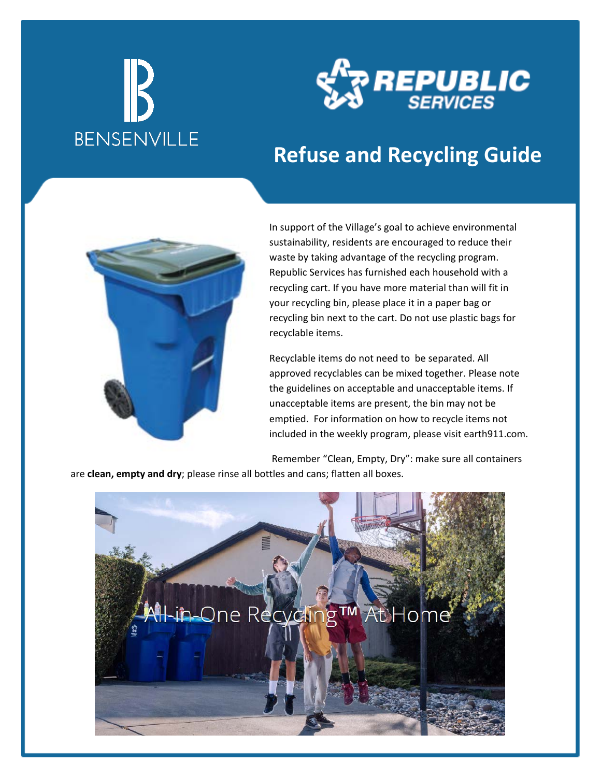

## **Refuse and Recycling Guide**



In support of the Village's goal to achieve environmental sustainability, residents are encouraged to reduce their waste by taking advantage of the recycling program. Republic Services has furnished each household with a recycling cart. If you have more material than will fit in your recycling bin, please place it in a paper bag or recycling bin next to the cart. Do not use plastic bags for recyclable items.

Recyclable items do not need to be separated. All approved recyclables can be mixed together. Please note the guidelines on acceptable and unacceptable items. If unacceptable items are present, the bin may not be emptied. For information on how to recycle items not included in the weekly program, please visit earth911.com.

Remember "Clean, Empty, Dry": make sure all containers are **clean, empty and dry**; please rinse all bottles and cans; flatten all boxes.

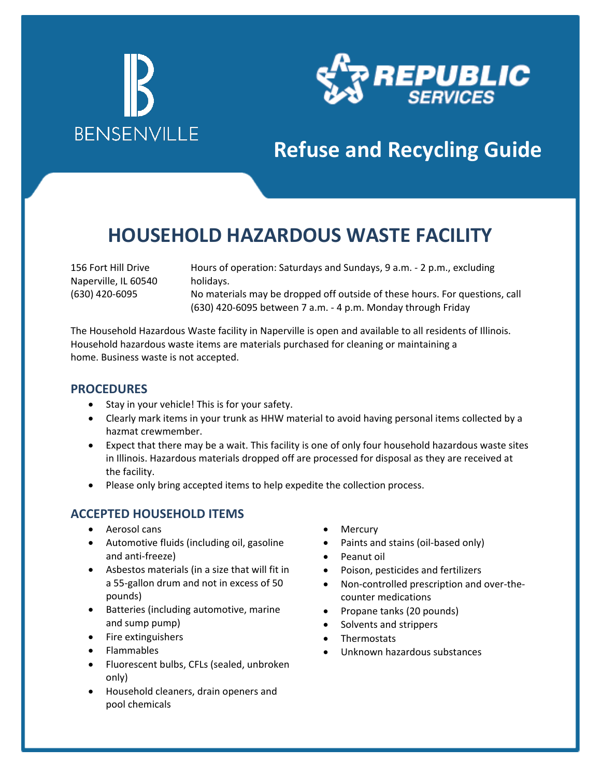

## **Refuse and Recycling Guide**

## **HOUSEHOLD HAZARDOUS WASTE FACILITY**

156 Fort Hill Drive Naperville, IL 60540 (630) 420-6095

Hours of operation: Saturdays and Sundays, 9 a.m. - 2 p.m., excluding holidays. No materials may be dropped off outside of these hours. For questions, call (630) 420-6095 between 7 a.m. - 4 p.m. Monday through Friday

The Household Hazardous Waste facility in Naperville is open and available to all residents of Illinois. Household hazardous waste items are materials purchased for cleaning or maintaining a home. Business waste is not accepted.

### **PROCEDURES**

- Stay in your vehicle! This is for your safety.
- Clearly mark items in your trunk as HHW material to avoid having personal items collected by a hazmat crewmember.
- Expect that there may be a wait. This facility is one of only four household hazardous waste sites in Illinois. Hazardous materials dropped off are processed for disposal as they are received at the facility.
- Please only bring accepted items to help expedite the collection process.

### **ACCEPTED HOUSEHOLD ITEMS**

- Aerosol cans
- Automotive fluids (including oil, gasoline and anti-freeze)
- Asbestos materials (in a size that will fit in a 55-gallon drum and not in excess of 50 pounds)
- Batteries (including automotive, marine and sump pump)
- Fire extinguishers
- Flammables
- Fluorescent bulbs, CFLs (sealed, unbroken only)
- Household cleaners, drain openers and pool chemicals
- **Mercury**
- Paints and stains (oil-based only)
- Peanut oil
- Poison, pesticides and fertilizers
- Non-controlled prescription and over-thecounter medications
- Propane tanks (20 pounds)
- Solvents and strippers
- **Thermostats**
- Unknown hazardous substances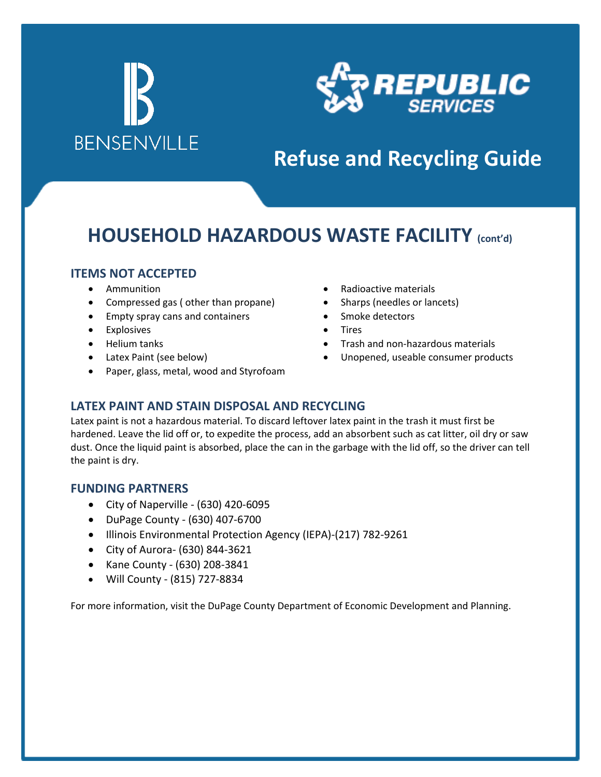

# **Refuse and Recycling Guide**

## **HOUSEHOLD HAZARDOUS WASTE FACILITY (cont'd)**

### **ITEMS NOT ACCEPTED**

- Ammunition
- Compressed gas ( other than propane)
- Empty spray cans and containers
- Explosives
- Helium tanks
- Latex Paint (see below)
- Paper, glass, metal, wood and Styrofoam
- Radioactive materials
- Sharps (needles or lancets)
- Smoke detectors
- Tires
- Trash and non-hazardous materials
- Unopened, useable consumer products

### **LATEX PAINT AND STAIN DISPOSAL AND RECYCLING**

Latex paint is not a hazardous material. To discard leftover latex paint in the trash it must first be hardened. Leave the lid off or, to expedite the process, add an absorbent such as cat litter, oil dry or saw dust. Once the liquid paint is absorbed, place the can in the garbage with the lid off, so the driver can tell the paint is dry.

### **FUNDING PARTNERS**

- City of Naperville (630) 420-6095
- DuPage County (630) 407-6700
- Illinois Environmental Protection Agency (IEPA)-(217) 782-9261
- City of Aurora- (630) 844-3621
- Kane County (630) 208-3841
- Will County (815) 727-8834

For more information, visit the DuPage County Department of Economic Development and Planning.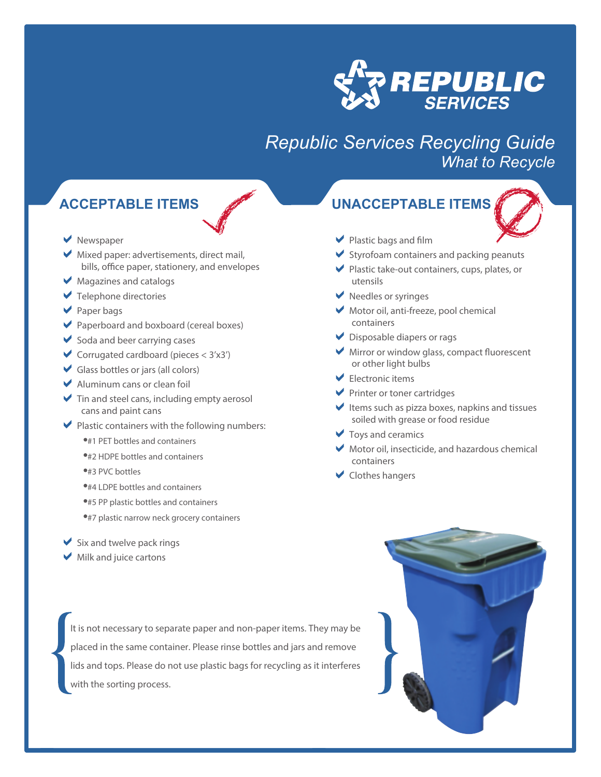

## *Republic Services Recycling Guide What to Recycle*

### **ACCEPTABLE ITEMS**

- **V** Newspaper
- $\blacktriangleright$  Mixed paper: advertisements, direct mail, bills, office paper, stationery, and envelopes
- Magazines and catalogs
- **▼** Telephone directories
- ◆ Paper bags
- ◆ Paperboard and boxboard (cereal boxes)
- $\blacktriangleright$  Soda and beer carrying cases
- Corrugated cardboard (pieces  $<$  3'x3')
- Glass bottles or jars (all colors)
- Aluminum cans or clean foil
- $\blacktriangleright$  Tin and steel cans, including empty aerosol cans and paint cans
- $\blacktriangleright$  Plastic containers with the following numbers:
	- **.#1 PET bottles and containers**
	- #2 HDPE bottles and containers
	- #3 PVC bottles
	- **.**#4 LDPE bottles and containers
	- #5 PP plastic bottles and containers
	- #7 plastic narrow neck grocery containers
- $\blacktriangleright$  Six and twelve pack rings
- $\blacktriangleright$  Milk and juice cartons

It is not necessary to separate paper and non-paper items. They may be placed in the same container. Please rinse bottles and jars and remove lids and tops. Please do not use plastic bags for recycling as it interferes with the sorting process.

### **UNACCEPTABLE ITEMS**



- $\blacktriangleright$  Plastic bags and film
- $\blacktriangleright$  Styrofoam containers and packing peanuts
- Plastic take-out containers, cups, plates, or utensils
- Reedles or syringes
- $\blacktriangleright$  Motor oil, anti-freeze, pool chemical containers
- Disposable diapers or rags
- $\blacktriangleright$  Mirror or window glass, compact fluorescent or other light bulbs
- $\blacktriangleright$  Electronic items
- **Printer or toner cartridges**
- $\blacktriangleright$  Items such as pizza boxes, napkins and tissues soiled with grease or food residue
- $\blacktriangleright$  Toys and ceramics
- $\blacktriangleright$  Motor oil, insecticide, and hazardous chemical containers
- **◆** Clothes hangers